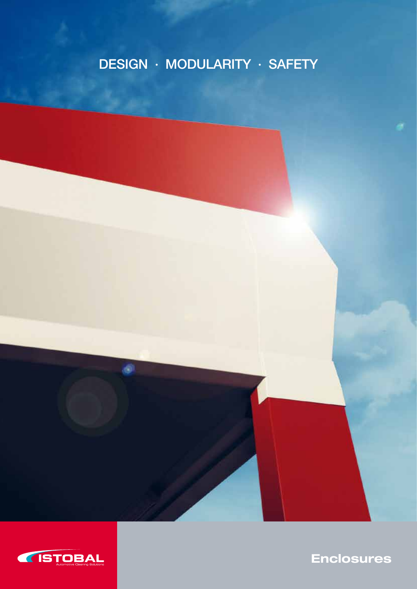# DESIGN · MODULARITY · SAFETY



۵

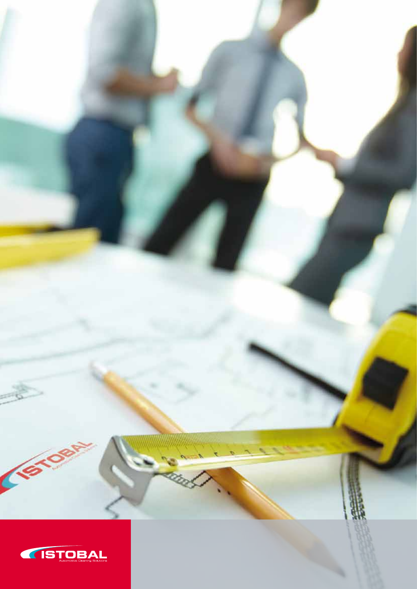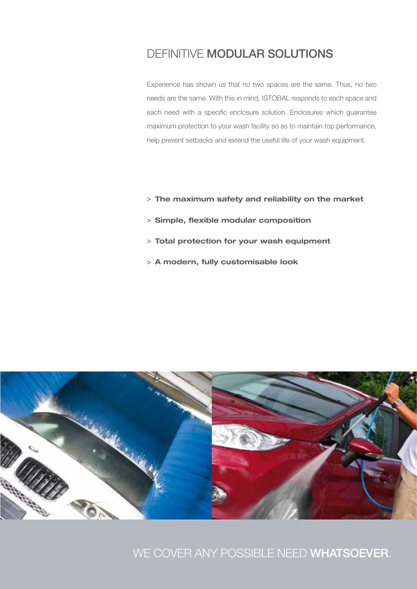## DEFINITIVE MODULAR SOLUTIONS

Experience has shown us that no two spaces are the same. Thus, no two needs are the same. With this in mind, ISTOBAL responds to each space and each need with a specific enclosure solution. Enclosures which guarantee maximum protection to your wash facility so as to maintain top performance, help prevent setbacks and extend the useful life of your wash equipment.

- > The maximum safety and reliability on the market
- > Simple, flexible modular composition
- > Total protection for your wash equipment
- > A modern, fully customisable look



### WE COVER ANY POSSIBLE NEED WHATSOEVER.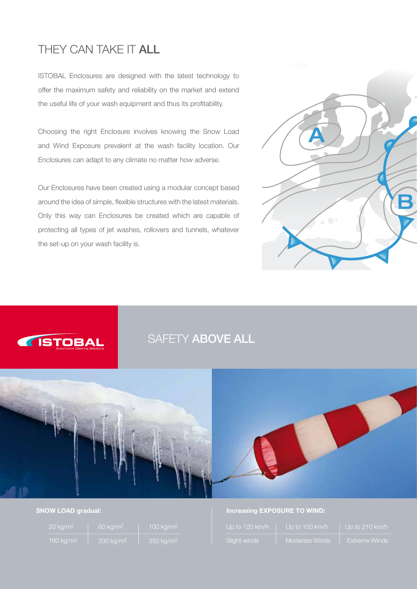## THEY CAN TAKE IT ALL

ISTOBAL Enclosures are designed with the latest technology to offer the maximum safety and reliability on the market and extend the useful life of your wash equipment and thus its profitability.

Choosing the right Enclosure involves knowing the Snow Load and Wind Exposure prevalent at the wash facility location. Our Enclosures can adapt to any climate no matter how adverse.

Our Enclosures have been created using a modular concept based around the idea of simple, flexible structures with the latest materials. Only this way can Enclosures be created which are capable of protecting all types of jet washes, rollovers and tunnels, whatever the set-up on your wash facility is.





## SAFETY ABOVE ALL



### SNOW LOAD gradual:

| $20 \text{ kg/m}^2$   | $60 \text{ kg/m}^2$  | 100 $kg/m2$          |
|-----------------------|----------------------|----------------------|
| 160 kg/m <sup>2</sup> | $200 \text{ kg/m}^2$ | $350 \text{ kg/m}^2$ |

### Increasing EXPOSURE TO WIND:

| Up to 120 km/h | Up to 150 km/h | Up to 210 km/h       |
|----------------|----------------|----------------------|
| Slight winds   | Moderate Winds | <b>Extreme Winds</b> |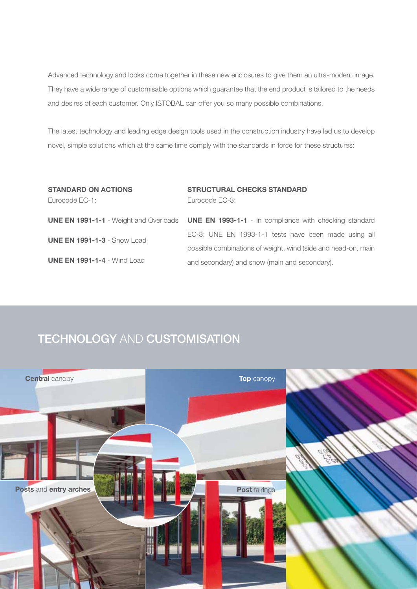Advanced technology and looks come together in these new enclosures to give them an ultra-modern image. They have a wide range of customisable options which guarantee that the end product is tailored to the needs and desires of each customer. Only ISTOBAL can offer you so many possible combinations.

The latest technology and leading edge design tools used in the construction industry have led us to develop novel, simple solutions which at the same time comply with the standards in force for these structures:

| <b>STANDARD ON ACTIONS</b>         | <b>STRUCTURAL CHECKS STANDARD</b>                                                                           |
|------------------------------------|-------------------------------------------------------------------------------------------------------------|
| Eurocode EC-1:                     | Eurocode EC-3:                                                                                              |
|                                    |                                                                                                             |
|                                    | <b>UNE EN 1991-1-1</b> - Weight and Overloads <b>UNE EN 1993-1-1</b> - In compliance with checking standard |
| <b>UNE EN 1991-1-3 - Snow Load</b> | EC-3: UNE EN 1993-1-1 tests have been made using all                                                        |
|                                    | possible combinations of weight, wind (side and head-on, main                                               |
| <b>UNE EN 1991-1-4 - Wind Load</b> | and secondary) and snow (main and secondary).                                                               |

## **TECHNOLOGY AND CUSTOMISATION**

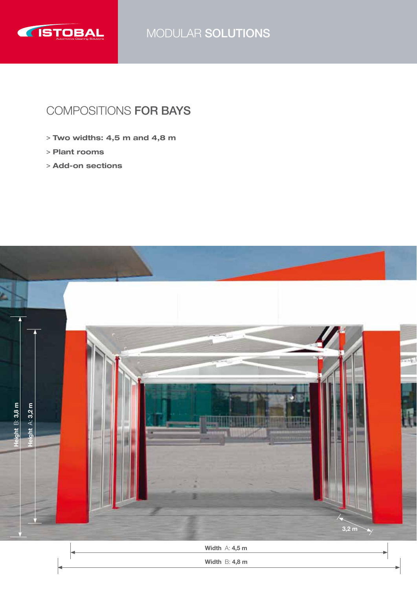

MODULAR SOLUTIONS

## COMPOSITIONS FOR BAYS

- > Two widths: 4,5 m and 4,8 m
- > Plant rooms
- > Add-on sections

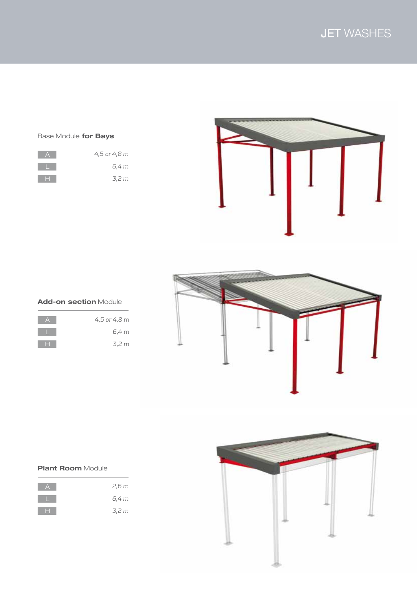### Base Module for Bays

| 4,5 or 4,8 m |
|--------------|
| 6.4 m        |
| 3,2 m        |



### Add-on section Module

| 4,5 or 4,8 m |
|--------------|
| 6,4 m        |
| 3,2 m        |



### **Plant Room Module**

| 2,6m  |
|-------|
| 6,4 m |
| 3,2 m |

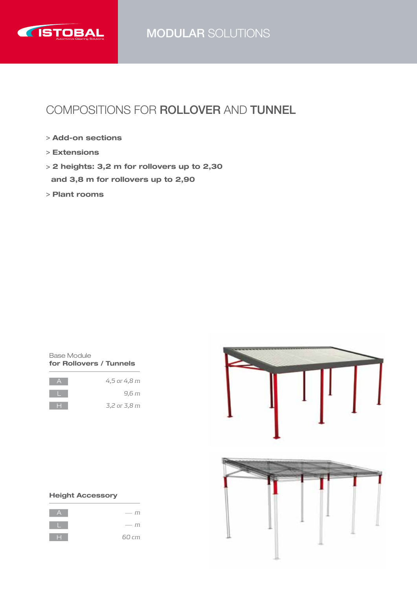

## MODULAR SOLUTIONS

## COMPOSITIONS FOR ROLLOVER and TUNNEL

- > Add-on sections
- > Extensions
- > 2 heights: 3,2 m for rollovers up to 2,30 and 3,8 m for rollovers up to 2,90
- > Plant rooms



| 4,5 or 4,8 m |
|--------------|
| 9,6 m        |
| 3,2 or 3,8 m |



### Height Accessory

| רוז<br>$\sim$                                                                                                                                                                                                                                                                                                                                                                                                                                                                   |
|---------------------------------------------------------------------------------------------------------------------------------------------------------------------------------------------------------------------------------------------------------------------------------------------------------------------------------------------------------------------------------------------------------------------------------------------------------------------------------|
| m<br>$\frac{1}{2} \left( \frac{1}{2} \right) \left( \frac{1}{2} \right) \left( \frac{1}{2} \right) \left( \frac{1}{2} \right) \left( \frac{1}{2} \right) \left( \frac{1}{2} \right) \left( \frac{1}{2} \right) \left( \frac{1}{2} \right) \left( \frac{1}{2} \right) \left( \frac{1}{2} \right) \left( \frac{1}{2} \right) \left( \frac{1}{2} \right) \left( \frac{1}{2} \right) \left( \frac{1}{2} \right) \left( \frac{1}{2} \right) \left( \frac{1}{2} \right) \left( \frac$ |
| 60 cm                                                                                                                                                                                                                                                                                                                                                                                                                                                                           |

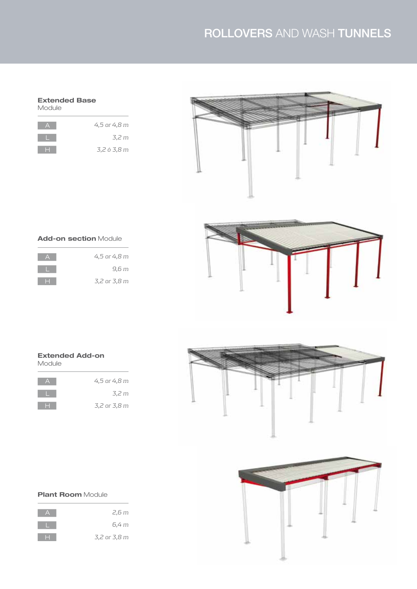# ROLLOVERS AND WASH TUNNELS

#### Extended Base Module

| 4,5 or 4,8 m |
|--------------|
| 3,2 m        |
| 3,2 ó 3,8 m  |



### Add-on section Module

| 4,5 or 4,8 m |
|--------------|
| 9,6 m        |
| 3,2 or 3,8 m |



### Extended Add-on Module

| 4,5 or 4,8 m |
|--------------|
| 3,2 m        |
| 3,2 or 3,8 m |





### **Plant Room Module**

| 2,6 m        |
|--------------|
| 6,4 m        |
| 3,2 or 3,8 m |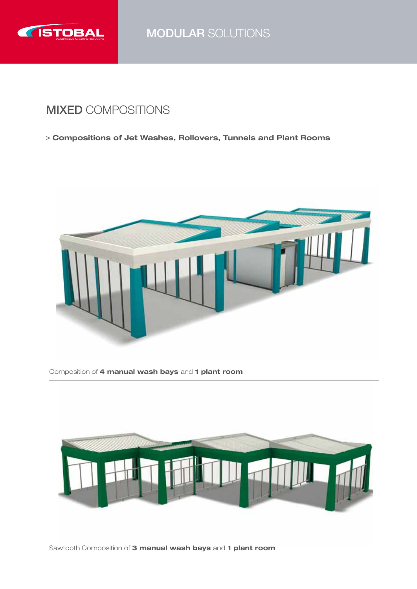

MODULAR SOLUTIONS

## MIXED COMPOSITIONS

> Compositions of Jet Washes, Rollovers, Tunnels and Plant Rooms



Composition of 4 manual wash bays and 1 plant room



Sawtooth Composition of 3 manual wash bays and 1 plant room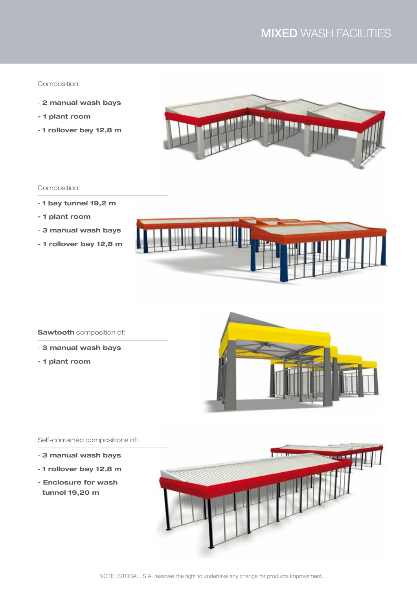# MIXED WASH FACILITIES

### Composition:

- 2 manual wash bays
- 1 plant room
- 1 rollover bay 12,8 m



### Composition:

- 1 bay tunnel 19,2 m
- 1 plant room
- 3 manual wash bays
- 1 rollover bay 12,8 m



#### **Sawtooth** composition of:

- 3 manual wash bays
- 1 plant room



### Self-contained compositions of:

- 3 manual wash bays
- 1 rollover bay 12,8 m
- Enclosure for wash tunnel 19,20 m